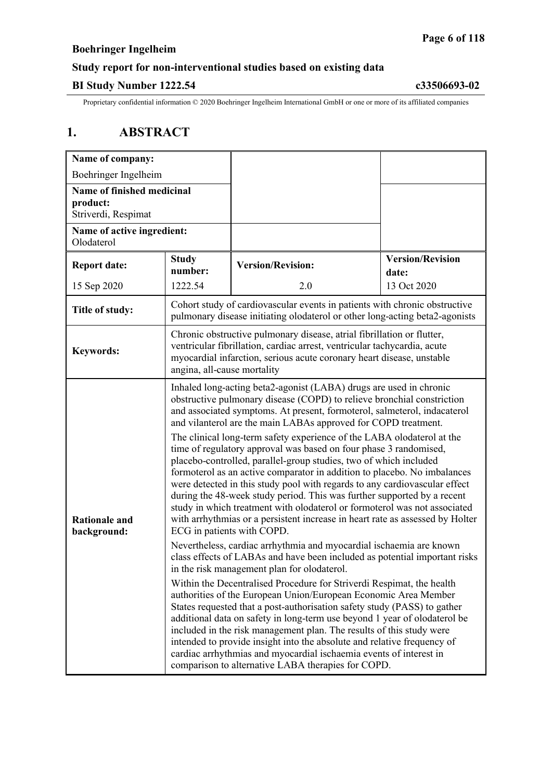## **Study report for non-interventional studies based on existing data**

### **BI Study Number 1222.54 c33506693-02**

Proprietary confidential information © 2020 Boehringer Ingelheim International GmbH or one or more of its affiliated companies

# **1. ABSTRACT**

| Name of company:                                              |                                                                                                                                                                                                                                                                                                                                                                                                                                                                                                                                                                                                                                                   |                          |                                  |
|---------------------------------------------------------------|---------------------------------------------------------------------------------------------------------------------------------------------------------------------------------------------------------------------------------------------------------------------------------------------------------------------------------------------------------------------------------------------------------------------------------------------------------------------------------------------------------------------------------------------------------------------------------------------------------------------------------------------------|--------------------------|----------------------------------|
| Boehringer Ingelheim                                          |                                                                                                                                                                                                                                                                                                                                                                                                                                                                                                                                                                                                                                                   |                          |                                  |
| Name of finished medicinal<br>product:<br>Striverdi, Respimat |                                                                                                                                                                                                                                                                                                                                                                                                                                                                                                                                                                                                                                                   |                          |                                  |
| Name of active ingredient:<br>Olodaterol                      |                                                                                                                                                                                                                                                                                                                                                                                                                                                                                                                                                                                                                                                   |                          |                                  |
| <b>Report date:</b>                                           | <b>Study</b><br>number:                                                                                                                                                                                                                                                                                                                                                                                                                                                                                                                                                                                                                           | <b>Version/Revision:</b> | <b>Version/Revision</b><br>date: |
| 15 Sep 2020                                                   | 1222.54                                                                                                                                                                                                                                                                                                                                                                                                                                                                                                                                                                                                                                           | 2.0                      | 13 Oct 2020                      |
| Title of study:                                               | Cohort study of cardiovascular events in patients with chronic obstructive<br>pulmonary disease initiating olodaterol or other long-acting beta2-agonists                                                                                                                                                                                                                                                                                                                                                                                                                                                                                         |                          |                                  |
| <b>Keywords:</b>                                              | Chronic obstructive pulmonary disease, atrial fibrillation or flutter,<br>ventricular fibrillation, cardiac arrest, ventricular tachycardia, acute<br>myocardial infarction, serious acute coronary heart disease, unstable<br>angina, all-cause mortality                                                                                                                                                                                                                                                                                                                                                                                        |                          |                                  |
|                                                               | Inhaled long-acting beta2-agonist (LABA) drugs are used in chronic<br>obstructive pulmonary disease (COPD) to relieve bronchial constriction<br>and associated symptoms. At present, formoterol, salmeterol, indacaterol<br>and vilanterol are the main LABAs approved for COPD treatment.                                                                                                                                                                                                                                                                                                                                                        |                          |                                  |
| <b>Rationale and</b><br>background:                           | The clinical long-term safety experience of the LABA olodaterol at the<br>time of regulatory approval was based on four phase 3 randomised,<br>placebo-controlled, parallel-group studies, two of which included<br>formoterol as an active comparator in addition to placebo. No imbalances<br>were detected in this study pool with regards to any cardiovascular effect<br>during the 48-week study period. This was further supported by a recent<br>study in which treatment with olodaterol or formoterol was not associated<br>with arrhythmias or a persistent increase in heart rate as assessed by Holter<br>ECG in patients with COPD. |                          |                                  |
|                                                               | Nevertheless, cardiac arrhythmia and myocardial ischaemia are known<br>class effects of LABAs and have been included as potential important risks<br>in the risk management plan for olodaterol.                                                                                                                                                                                                                                                                                                                                                                                                                                                  |                          |                                  |
|                                                               | Within the Decentralised Procedure for Striverdi Respimat, the health<br>authorities of the European Union/European Economic Area Member<br>States requested that a post-authorisation safety study (PASS) to gather<br>additional data on safety in long-term use beyond 1 year of olodaterol be<br>included in the risk management plan. The results of this study were<br>intended to provide insight into the absolute and relative frequency of<br>cardiac arrhythmias and myocardial ischaemia events of interest in<br>comparison to alternative LABA therapies for COPD.                                                                  |                          |                                  |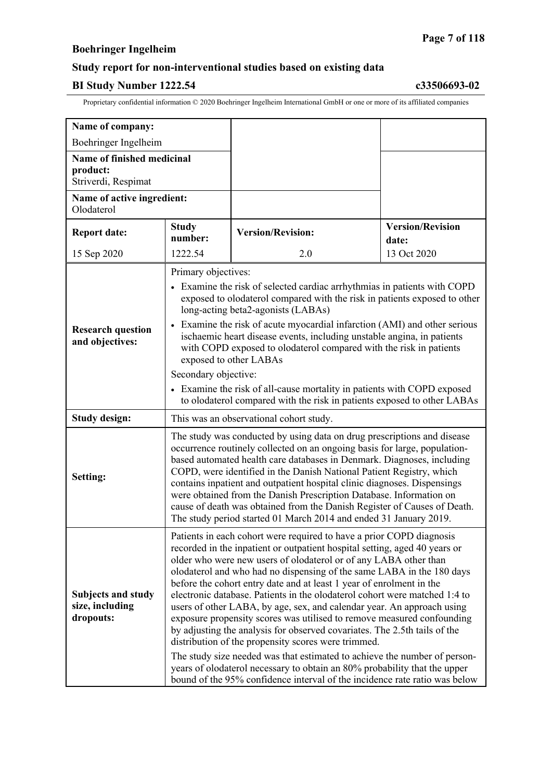## **Study report for non-interventional studies based on existing data**

### **BI Study Number 1222.54 c33506693-02**

| Name of company:                                              |                                                                                                                                                                                                                                                                                                                                                                                                                                                                                                                                                                                                                                                                                                                                                                                                                                                                                                                                                                                       |                          |                                  |
|---------------------------------------------------------------|---------------------------------------------------------------------------------------------------------------------------------------------------------------------------------------------------------------------------------------------------------------------------------------------------------------------------------------------------------------------------------------------------------------------------------------------------------------------------------------------------------------------------------------------------------------------------------------------------------------------------------------------------------------------------------------------------------------------------------------------------------------------------------------------------------------------------------------------------------------------------------------------------------------------------------------------------------------------------------------|--------------------------|----------------------------------|
| Boehringer Ingelheim                                          |                                                                                                                                                                                                                                                                                                                                                                                                                                                                                                                                                                                                                                                                                                                                                                                                                                                                                                                                                                                       |                          |                                  |
| Name of finished medicinal<br>product:<br>Striverdi, Respimat |                                                                                                                                                                                                                                                                                                                                                                                                                                                                                                                                                                                                                                                                                                                                                                                                                                                                                                                                                                                       |                          |                                  |
| Name of active ingredient:<br>Olodaterol                      |                                                                                                                                                                                                                                                                                                                                                                                                                                                                                                                                                                                                                                                                                                                                                                                                                                                                                                                                                                                       |                          |                                  |
| <b>Report date:</b>                                           | <b>Study</b><br>number:                                                                                                                                                                                                                                                                                                                                                                                                                                                                                                                                                                                                                                                                                                                                                                                                                                                                                                                                                               | <b>Version/Revision:</b> | <b>Version/Revision</b><br>date: |
| 15 Sep 2020                                                   | 1222.54                                                                                                                                                                                                                                                                                                                                                                                                                                                                                                                                                                                                                                                                                                                                                                                                                                                                                                                                                                               | 2.0                      | 13 Oct 2020                      |
| <b>Research question</b><br>and objectives:                   | Primary objectives:<br>• Examine the risk of selected cardiac arrhythmias in patients with COPD<br>exposed to olodaterol compared with the risk in patients exposed to other<br>long-acting beta2-agonists (LABAs)<br>• Examine the risk of acute myocardial infarction (AMI) and other serious<br>ischaemic heart disease events, including unstable angina, in patients<br>with COPD exposed to olodaterol compared with the risk in patients<br>exposed to other LABAs<br>Secondary objective:<br>• Examine the risk of all-cause mortality in patients with COPD exposed<br>to olodaterol compared with the risk in patients exposed to other LABAs                                                                                                                                                                                                                                                                                                                               |                          |                                  |
| <b>Study design:</b>                                          | This was an observational cohort study.                                                                                                                                                                                                                                                                                                                                                                                                                                                                                                                                                                                                                                                                                                                                                                                                                                                                                                                                               |                          |                                  |
| Setting:                                                      | The study was conducted by using data on drug prescriptions and disease<br>occurrence routinely collected on an ongoing basis for large, population-<br>based automated health care databases in Denmark. Diagnoses, including<br>COPD, were identified in the Danish National Patient Registry, which<br>contains inpatient and outpatient hospital clinic diagnoses. Dispensings<br>were obtained from the Danish Prescription Database. Information on<br>cause of death was obtained from the Danish Register of Causes of Death.<br>The study period started 01 March 2014 and ended 31 January 2019.                                                                                                                                                                                                                                                                                                                                                                            |                          |                                  |
| <b>Subjects and study</b><br>size, including<br>dropouts:     | Patients in each cohort were required to have a prior COPD diagnosis<br>recorded in the inpatient or outpatient hospital setting, aged 40 years or<br>older who were new users of olodaterol or of any LABA other than<br>olodaterol and who had no dispensing of the same LABA in the 180 days<br>before the cohort entry date and at least 1 year of enrolment in the<br>electronic database. Patients in the olodaterol cohort were matched 1:4 to<br>users of other LABA, by age, sex, and calendar year. An approach using<br>exposure propensity scores was utilised to remove measured confounding<br>by adjusting the analysis for observed covariates. The 2.5th tails of the<br>distribution of the propensity scores were trimmed.<br>The study size needed was that estimated to achieve the number of person-<br>years of olodaterol necessary to obtain an 80% probability that the upper<br>bound of the 95% confidence interval of the incidence rate ratio was below |                          |                                  |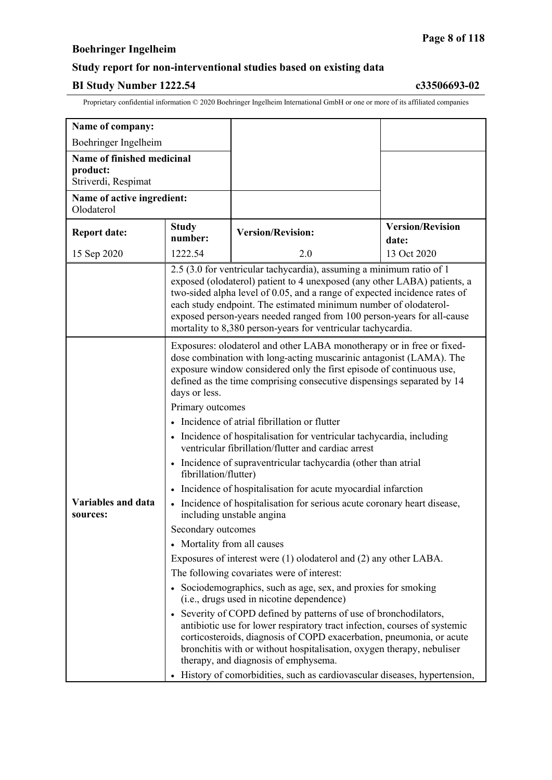## **Study report for non-interventional studies based on existing data**

### **BI Study Number 1222.54 c33506693-02**

| Name of company:                                              |                                                                                                                                                                                                                                                                                                                                                                                                                                                                                                                                                                                                                                                                                                                                                                                                                                                                                                                                                                                                                                                                                                                                                                                                                                                                                                                                                                                    |                          |                                                                          |
|---------------------------------------------------------------|------------------------------------------------------------------------------------------------------------------------------------------------------------------------------------------------------------------------------------------------------------------------------------------------------------------------------------------------------------------------------------------------------------------------------------------------------------------------------------------------------------------------------------------------------------------------------------------------------------------------------------------------------------------------------------------------------------------------------------------------------------------------------------------------------------------------------------------------------------------------------------------------------------------------------------------------------------------------------------------------------------------------------------------------------------------------------------------------------------------------------------------------------------------------------------------------------------------------------------------------------------------------------------------------------------------------------------------------------------------------------------|--------------------------|--------------------------------------------------------------------------|
| Boehringer Ingelheim                                          |                                                                                                                                                                                                                                                                                                                                                                                                                                                                                                                                                                                                                                                                                                                                                                                                                                                                                                                                                                                                                                                                                                                                                                                                                                                                                                                                                                                    |                          |                                                                          |
| Name of finished medicinal<br>product:<br>Striverdi, Respimat |                                                                                                                                                                                                                                                                                                                                                                                                                                                                                                                                                                                                                                                                                                                                                                                                                                                                                                                                                                                                                                                                                                                                                                                                                                                                                                                                                                                    |                          |                                                                          |
| Name of active ingredient:<br>Olodaterol                      |                                                                                                                                                                                                                                                                                                                                                                                                                                                                                                                                                                                                                                                                                                                                                                                                                                                                                                                                                                                                                                                                                                                                                                                                                                                                                                                                                                                    |                          |                                                                          |
| <b>Report date:</b>                                           | <b>Study</b><br>number:                                                                                                                                                                                                                                                                                                                                                                                                                                                                                                                                                                                                                                                                                                                                                                                                                                                                                                                                                                                                                                                                                                                                                                                                                                                                                                                                                            | <b>Version/Revision:</b> | <b>Version/Revision</b><br>date:                                         |
| 15 Sep 2020                                                   | 1222.54                                                                                                                                                                                                                                                                                                                                                                                                                                                                                                                                                                                                                                                                                                                                                                                                                                                                                                                                                                                                                                                                                                                                                                                                                                                                                                                                                                            | 2.0                      | 13 Oct 2020                                                              |
|                                                               | 2.5 (3.0 for ventricular tachycardia), assuming a minimum ratio of 1<br>exposed (olodaterol) patient to 4 unexposed (any other LABA) patients, a<br>two-sided alpha level of 0.05, and a range of expected incidence rates of<br>each study endpoint. The estimated minimum number of olodaterol-<br>exposed person-years needed ranged from 100 person-years for all-cause<br>mortality to 8,380 person-years for ventricular tachycardia.                                                                                                                                                                                                                                                                                                                                                                                                                                                                                                                                                                                                                                                                                                                                                                                                                                                                                                                                        |                          |                                                                          |
| <b>Variables and data</b><br>sources:                         | Exposures: olodaterol and other LABA monotherapy or in free or fixed-<br>dose combination with long-acting muscarinic antagonist (LAMA). The<br>exposure window considered only the first episode of continuous use,<br>defined as the time comprising consecutive dispensings separated by 14<br>days or less.<br>Primary outcomes<br>• Incidence of atrial fibrillation or flutter<br>• Incidence of hospitalisation for ventricular tachycardia, including<br>ventricular fibrillation/flutter and cardiac arrest<br>• Incidence of supraventricular tachycardia (other than atrial<br>fibrillation/flutter)<br>Incidence of hospitalisation for acute myocardial infarction<br>• Incidence of hospitalisation for serious acute coronary heart disease,<br>including unstable angina<br>Secondary outcomes<br>• Mortality from all causes<br>Exposures of interest were (1) olodaterol and (2) any other LABA.<br>The following covariates were of interest:<br>• Sociodemographics, such as age, sex, and proxies for smoking<br>(i.e., drugs used in nicotine dependence)<br>• Severity of COPD defined by patterns of use of bronchodilators,<br>antibiotic use for lower respiratory tract infection, courses of systemic<br>corticosteroids, diagnosis of COPD exacerbation, pneumonia, or acute<br>bronchitis with or without hospitalisation, oxygen therapy, nebuliser |                          | History of comorbidities, such as cardiovascular diseases, hypertension, |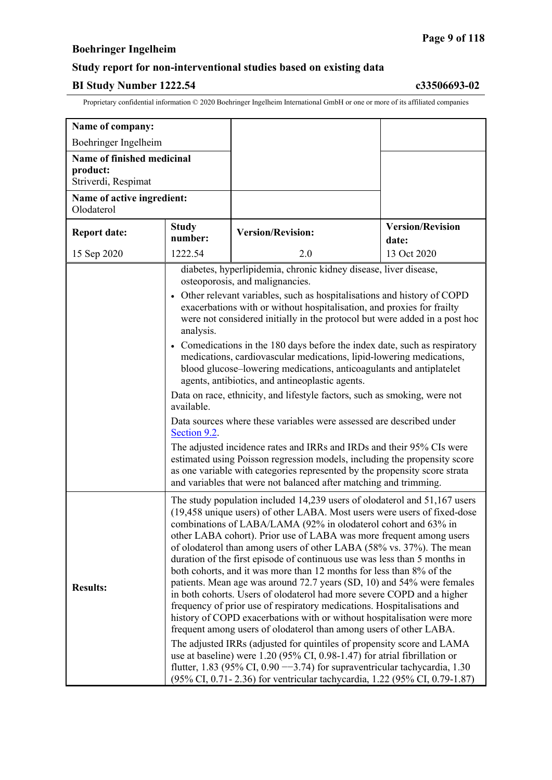## **Study report for non-interventional studies based on existing data**

### **BI Study Number 1222.54 c33506693-02**

| Name of company:                                              |                                                                                                                                                                                                                                                                                                                                                                                                                                                                                                                                                                                                                                                                                                                                                                                                                                                                                                                                                                                                                                                                                                                                                                                                                                 |                                                                                                                                                                                                                                                                                                       |                                  |  |
|---------------------------------------------------------------|---------------------------------------------------------------------------------------------------------------------------------------------------------------------------------------------------------------------------------------------------------------------------------------------------------------------------------------------------------------------------------------------------------------------------------------------------------------------------------------------------------------------------------------------------------------------------------------------------------------------------------------------------------------------------------------------------------------------------------------------------------------------------------------------------------------------------------------------------------------------------------------------------------------------------------------------------------------------------------------------------------------------------------------------------------------------------------------------------------------------------------------------------------------------------------------------------------------------------------|-------------------------------------------------------------------------------------------------------------------------------------------------------------------------------------------------------------------------------------------------------------------------------------------------------|----------------------------------|--|
| Boehringer Ingelheim                                          |                                                                                                                                                                                                                                                                                                                                                                                                                                                                                                                                                                                                                                                                                                                                                                                                                                                                                                                                                                                                                                                                                                                                                                                                                                 |                                                                                                                                                                                                                                                                                                       |                                  |  |
| Name of finished medicinal<br>product:<br>Striverdi, Respimat |                                                                                                                                                                                                                                                                                                                                                                                                                                                                                                                                                                                                                                                                                                                                                                                                                                                                                                                                                                                                                                                                                                                                                                                                                                 |                                                                                                                                                                                                                                                                                                       |                                  |  |
| Name of active ingredient:<br>Olodaterol                      |                                                                                                                                                                                                                                                                                                                                                                                                                                                                                                                                                                                                                                                                                                                                                                                                                                                                                                                                                                                                                                                                                                                                                                                                                                 |                                                                                                                                                                                                                                                                                                       |                                  |  |
| <b>Report date:</b>                                           | <b>Study</b><br>number:                                                                                                                                                                                                                                                                                                                                                                                                                                                                                                                                                                                                                                                                                                                                                                                                                                                                                                                                                                                                                                                                                                                                                                                                         | <b>Version/Revision:</b>                                                                                                                                                                                                                                                                              | <b>Version/Revision</b><br>date: |  |
| 15 Sep 2020                                                   | 1222.54                                                                                                                                                                                                                                                                                                                                                                                                                                                                                                                                                                                                                                                                                                                                                                                                                                                                                                                                                                                                                                                                                                                                                                                                                         | 2.0                                                                                                                                                                                                                                                                                                   | 13 Oct 2020                      |  |
|                                                               | diabetes, hyperlipidemia, chronic kidney disease, liver disease,<br>osteoporosis, and malignancies.                                                                                                                                                                                                                                                                                                                                                                                                                                                                                                                                                                                                                                                                                                                                                                                                                                                                                                                                                                                                                                                                                                                             |                                                                                                                                                                                                                                                                                                       |                                  |  |
|                                                               | • Other relevant variables, such as hospitalisations and history of COPD<br>exacerbations with or without hospitalisation, and proxies for frailty<br>were not considered initially in the protocol but were added in a post hoc<br>analysis.                                                                                                                                                                                                                                                                                                                                                                                                                                                                                                                                                                                                                                                                                                                                                                                                                                                                                                                                                                                   |                                                                                                                                                                                                                                                                                                       |                                  |  |
|                                                               | • Comedications in the 180 days before the index date, such as respiratory<br>medications, cardiovascular medications, lipid-lowering medications,<br>blood glucose-lowering medications, anticoagulants and antiplatelet<br>agents, antibiotics, and antineoplastic agents.                                                                                                                                                                                                                                                                                                                                                                                                                                                                                                                                                                                                                                                                                                                                                                                                                                                                                                                                                    |                                                                                                                                                                                                                                                                                                       |                                  |  |
|                                                               | Data on race, ethnicity, and lifestyle factors, such as smoking, were not<br>available.                                                                                                                                                                                                                                                                                                                                                                                                                                                                                                                                                                                                                                                                                                                                                                                                                                                                                                                                                                                                                                                                                                                                         |                                                                                                                                                                                                                                                                                                       |                                  |  |
|                                                               | Data sources where these variables were assessed are described under<br>Section 9.2.                                                                                                                                                                                                                                                                                                                                                                                                                                                                                                                                                                                                                                                                                                                                                                                                                                                                                                                                                                                                                                                                                                                                            |                                                                                                                                                                                                                                                                                                       |                                  |  |
|                                                               |                                                                                                                                                                                                                                                                                                                                                                                                                                                                                                                                                                                                                                                                                                                                                                                                                                                                                                                                                                                                                                                                                                                                                                                                                                 | The adjusted incidence rates and IRRs and IRDs and their 95% CIs were<br>estimated using Poisson regression models, including the propensity score<br>as one variable with categories represented by the propensity score strata<br>and variables that were not balanced after matching and trimming. |                                  |  |
| <b>Results:</b>                                               | The study population included 14,239 users of olodaterol and 51,167 users<br>(19,458 unique users) of other LABA. Most users were users of fixed-dose<br>combinations of LABA/LAMA (92% in olodaterol cohort and 63% in<br>other LABA cohort). Prior use of LABA was more frequent among users<br>of olodaterol than among users of other LABA (58% vs. 37%). The mean<br>duration of the first episode of continuous use was less than 5 months in<br>both cohorts, and it was more than 12 months for less than 8% of the<br>patients. Mean age was around 72.7 years (SD, 10) and 54% were females<br>in both cohorts. Users of olodaterol had more severe COPD and a higher<br>frequency of prior use of respiratory medications. Hospitalisations and<br>history of COPD exacerbations with or without hospitalisation were more<br>frequent among users of olodaterol than among users of other LABA.<br>The adjusted IRRs (adjusted for quintiles of propensity score and LAMA<br>use at baseline) were 1.20 (95% CI, 0.98-1.47) for atrial fibrillation or<br>flutter, 1.83 (95% CI, 0.90 $-$ 3.74) for supraventricular tachycardia, 1.30<br>(95% CI, 0.71-2.36) for ventricular tachycardia, 1.22 (95% CI, 0.79-1.87) |                                                                                                                                                                                                                                                                                                       |                                  |  |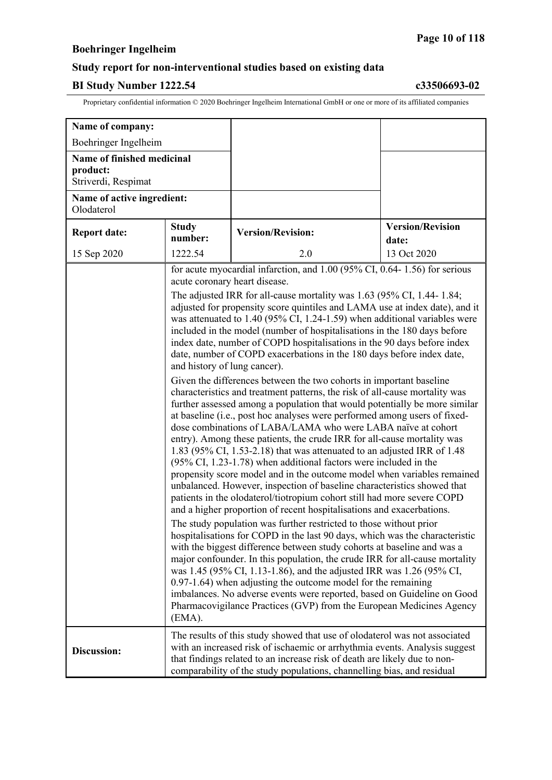### **Study report for non-interventional studies based on existing data**

### **BI Study Number 1222.54 c33506693-02**

| Name of company:                                              |                                                                                                                                                                                                                                                                                                                           |                                                                                                                                                                                                                                                                                                                                                                                                                                                                                                                                                                                                                                                                                                                                                                                                                                                                                                                                                                                                                                                                                                                                                                                                                                                                                                                                                                                                                                                                                                                                                                                                                                                                                                                                                                                                                                                                                                                                                                                                                                                                                         |                                  |
|---------------------------------------------------------------|---------------------------------------------------------------------------------------------------------------------------------------------------------------------------------------------------------------------------------------------------------------------------------------------------------------------------|-----------------------------------------------------------------------------------------------------------------------------------------------------------------------------------------------------------------------------------------------------------------------------------------------------------------------------------------------------------------------------------------------------------------------------------------------------------------------------------------------------------------------------------------------------------------------------------------------------------------------------------------------------------------------------------------------------------------------------------------------------------------------------------------------------------------------------------------------------------------------------------------------------------------------------------------------------------------------------------------------------------------------------------------------------------------------------------------------------------------------------------------------------------------------------------------------------------------------------------------------------------------------------------------------------------------------------------------------------------------------------------------------------------------------------------------------------------------------------------------------------------------------------------------------------------------------------------------------------------------------------------------------------------------------------------------------------------------------------------------------------------------------------------------------------------------------------------------------------------------------------------------------------------------------------------------------------------------------------------------------------------------------------------------------------------------------------------------|----------------------------------|
| Boehringer Ingelheim                                          |                                                                                                                                                                                                                                                                                                                           |                                                                                                                                                                                                                                                                                                                                                                                                                                                                                                                                                                                                                                                                                                                                                                                                                                                                                                                                                                                                                                                                                                                                                                                                                                                                                                                                                                                                                                                                                                                                                                                                                                                                                                                                                                                                                                                                                                                                                                                                                                                                                         |                                  |
| Name of finished medicinal<br>product:<br>Striverdi, Respimat |                                                                                                                                                                                                                                                                                                                           |                                                                                                                                                                                                                                                                                                                                                                                                                                                                                                                                                                                                                                                                                                                                                                                                                                                                                                                                                                                                                                                                                                                                                                                                                                                                                                                                                                                                                                                                                                                                                                                                                                                                                                                                                                                                                                                                                                                                                                                                                                                                                         |                                  |
| Name of active ingredient:<br>Olodaterol                      |                                                                                                                                                                                                                                                                                                                           |                                                                                                                                                                                                                                                                                                                                                                                                                                                                                                                                                                                                                                                                                                                                                                                                                                                                                                                                                                                                                                                                                                                                                                                                                                                                                                                                                                                                                                                                                                                                                                                                                                                                                                                                                                                                                                                                                                                                                                                                                                                                                         |                                  |
| <b>Report date:</b>                                           | <b>Study</b><br>number:                                                                                                                                                                                                                                                                                                   | <b>Version/Revision:</b>                                                                                                                                                                                                                                                                                                                                                                                                                                                                                                                                                                                                                                                                                                                                                                                                                                                                                                                                                                                                                                                                                                                                                                                                                                                                                                                                                                                                                                                                                                                                                                                                                                                                                                                                                                                                                                                                                                                                                                                                                                                                | <b>Version/Revision</b><br>date: |
| 15 Sep 2020                                                   | 1222.54                                                                                                                                                                                                                                                                                                                   | 2.0                                                                                                                                                                                                                                                                                                                                                                                                                                                                                                                                                                                                                                                                                                                                                                                                                                                                                                                                                                                                                                                                                                                                                                                                                                                                                                                                                                                                                                                                                                                                                                                                                                                                                                                                                                                                                                                                                                                                                                                                                                                                                     | 13 Oct 2020                      |
|                                                               | Pharmacovigilance Practices (GVP) from the European Medicines Agency                                                                                                                                                                                                                                                      | for acute myocardial infarction, and 1.00 (95% CI, 0.64-1.56) for serious<br>acute coronary heart disease.<br>The adjusted IRR for all-cause mortality was $1.63$ (95% CI, 1.44-1.84;<br>adjusted for propensity score quintiles and LAMA use at index date), and it<br>was attenuated to 1.40 (95% CI, 1.24-1.59) when additional variables were<br>included in the model (number of hospitalisations in the 180 days before<br>index date, number of COPD hospitalisations in the 90 days before index<br>date, number of COPD exacerbations in the 180 days before index date,<br>and history of lung cancer).<br>Given the differences between the two cohorts in important baseline<br>characteristics and treatment patterns, the risk of all-cause mortality was<br>further assessed among a population that would potentially be more similar<br>at baseline (i.e., post hoc analyses were performed among users of fixed-<br>dose combinations of LABA/LAMA who were LABA naïve at cohort<br>entry). Among these patients, the crude IRR for all-cause mortality was<br>1.83 (95% CI, 1.53-2.18) that was attenuated to an adjusted IRR of 1.48<br>$(95\% \text{ CI}, 1.23-1.78)$ when additional factors were included in the<br>propensity score model and in the outcome model when variables remained<br>unbalanced. However, inspection of baseline characteristics showed that<br>patients in the olodaterol/tiotropium cohort still had more severe COPD<br>and a higher proportion of recent hospitalisations and exacerbations.<br>The study population was further restricted to those without prior<br>hospitalisations for COPD in the last 90 days, which was the characteristic<br>with the biggest difference between study cohorts at baseline and was a<br>major confounder. In this population, the crude IRR for all-cause mortality<br>was 1.45 (95% CI, 1.13-1.86), and the adjusted IRR was 1.26 (95% CI,<br>$(0.97-1.64)$ when adjusting the outcome model for the remaining<br>imbalances. No adverse events were reported, based on Guideline on Good |                                  |
| Discussion:                                                   | (EMA).<br>The results of this study showed that use of olodaterol was not associated<br>with an increased risk of ischaemic or arrhythmia events. Analysis suggest<br>that findings related to an increase risk of death are likely due to non-<br>comparability of the study populations, channelling bias, and residual |                                                                                                                                                                                                                                                                                                                                                                                                                                                                                                                                                                                                                                                                                                                                                                                                                                                                                                                                                                                                                                                                                                                                                                                                                                                                                                                                                                                                                                                                                                                                                                                                                                                                                                                                                                                                                                                                                                                                                                                                                                                                                         |                                  |